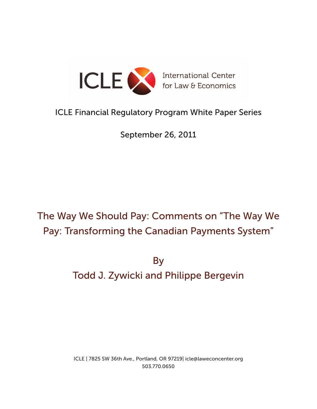

# ICLE Financial Regulatory Program White Paper Series

September 26, 2011

# The Way We Should Pay: Comments on "The Way We Pay: Transforming the Canadian Payments System"

By Todd J. Zywicki and Philippe Bergevin

ICLE | 7825 SW 36th Ave., Portland, OR 97219| icle@laweconcenter.org 503.770.0650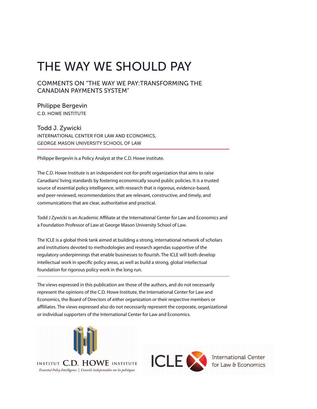# The Way We Should Pay

### Comments on "The Way We Pay:Transforming the Canadian Payments System"

Philippe Bergevin C.D. Howe Institute

Todd J. Zywicki International Center for Law and Economics, George Mason University School of Law

Philippe Bergevin is a Policy Analyst at the C.D. Howe institute.

The C.D. Howe Institute is an independent not-for-profit organization that aims to raise Canadians' living standards by fostering economically sound public policies. It is a trusted source of essential policy intelligence, with research that is rigorous, evidence-based, and peer-reviewed, recommendations that are relevant, constructive, and timely, and communications that are clear, authoritative and practical.

Todd J Zywicki is an Academic Affiliate at the International Center for Law and Economics and a Foundation Professor of Law at George Mason University School of Law.

The ICLE is a global think tank aimed at building a strong, international network of scholars and institutions devoted to methodologies and research agendas supportive of the regulatory underpinnings that enable businesses to flourish. The ICLE will both develop intellectual work in specific policy areas, as well as build a strong, global intellectual foundation for rigorous policy work in the long run.

The views expressed in this publication are those of the authors, and do not necessarily represent the opinions of the C.D. Howe Institute, the International Center for Law and Economics, the Board of Directors of either organization or their respective members or affliliates. The views expressed also do not necessarily represent the corporate, organizational or individual supporters of the International Center for Law and Economics.



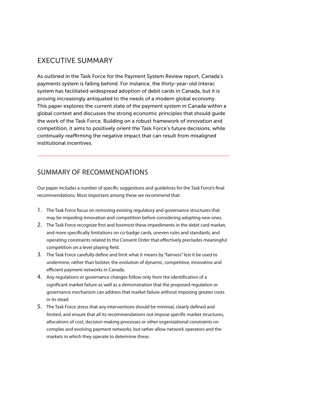# Executive summary

As outlined in the Task Force for the Payment System Review report, Canada's payments system is falling behind. For instance, the thirty-year-old Interac system has facilitated widespread adoption of debit cards in Canada, but it is proving increasingly antiquated to the needs of a modern global economy. This paper explores the current state of the payment system in Canada within a global context and discusses the strong economic principles that should guide the work of the Task Force. Building on a robust framework of innovation and competition, it aims to positively orient the Task Force's future decisions, while continually reaffirming the negative impact that can result from misaligned institutional incentives.

# Summary of Recommendations

Our paper includes a number of specific suggestions and guidelines for the Task Force's final recommendations. Most important among these we recommend that:

- 1. The Task Force focus on removing existing regulatory and governance structures that may be impeding innovation and competition before considering adopting new ones.
- 2. The Task Force recognize first and foremost these impediments in the debit card market, and more specifically limitations on co-badge cards, uneven rules and standards, and operating constraints related to the Consent Order that effectively precludes meaningful competition on a level playing field.
- 3. The Task Force carefully define and limit what it means by "fairness" lest it be used to undermine, rather than bolster, the evolution of dynamic, competitive, innovative and efficient payment networks in Canada.
- 4. Any regulations or governance changes follow only from the identification of a significant market failure as well as a demonstration that the proposed regulation or governance mechanism can address that market failure without imposing greater costs in its stead.
- 5. The Task Force stress that any interventions should be minimal, clearly defined and limited, and ensure that all its recommendations not impose specific market structures, allocations of cost, decision-making processes or other organizational constraints on complex and evolving payment networks, but rather allow network operators and the markets in which they operate to determine these.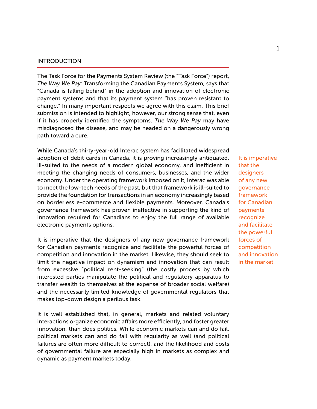#### **INTRODUCTION**

The Task Force for the Payments System Review (the "Task Force") report, *The Way We Pay*: Transforming the Canadian Payments System, says that "Canada is falling behind" in the adoption and innovation of electronic payment systems and that its payment system "has proven resistant to change." In many important respects we agree with this claim. This brief submission is intended to highlight, however, our strong sense that, even if it has properly identified the symptoms, *The Way We Pay* may have misdiagnosed the disease, and may be headed on a dangerously wrong path toward a cure.

While Canada's thirty-year-old Interac system has facilitated widespread adoption of debit cards in Canada, it is proving increasingly antiquated, ill-suited to the needs of a modern global economy, and inefficient in meeting the changing needs of consumers, businesses, and the wider economy. Under the operating framework imposed on it, Interac was able to meet the low-tech needs of the past, but that framework is ill-suited to provide the foundation for transactions in an economy increasingly based on borderless e-commerce and flexible payments. Moreover, Canada's governance framework has proven ineffective in supporting the kind of innovation required for Canadians to enjoy the full range of available electronic payments options.

It is imperative that the designers of any new governance framework for Canadian payments recognize and facilitate the powerful forces of competition and innovation in the market. Likewise, they should seek to limit the negative impact on dynamism and innovation that can result from excessive "political rent-seeking" (the costly process by which interested parties manipulate the political and regulatory apparatus to transfer wealth to themselves at the expense of broader social welfare) and the necessarily limited knowledge of governmental regulators that makes top-down design a perilous task.

It is well established that, in general, markets and related voluntary interactions organize economic affairs more efficiently, and foster greater innovation, than does politics. While economic markets can and do fail, political markets can and do fail with regularity as well (and political failures are often more difficult to correct), and the likelihood and costs of governmental failure are especially high in markets as complex and dynamic as payment markets today.

It is imperative that the designers of any new governance framework for Canadian payments recognize and facilitate the powerful forces of competition and innovation in the market.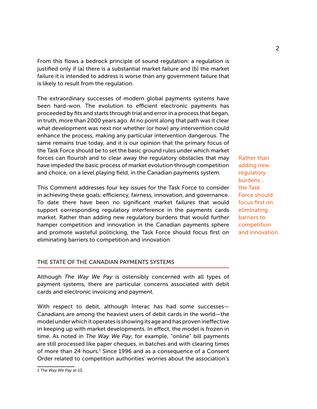From this flows a bedrock principle of sound regulation: a regulation is justified only if (a) there is a substantial market failure and (b) the market failure it is intended to address is worse than any government failure that is likely to result from the regulation.

The extraordinary successes of modern global payments systems have been hard-won. The evolution to efficient electronic payments has proceeded by fits and starts through trial and error in a process that began, in truth, more than 2000 years ago. At no point along that path was it clear what development was next nor whether (or how) any intervention could enhance the process, making any particular intervention dangerous. The same remains true today, and it is our opinion that the primary focus of the Task Force should be to set the basic ground rules under which market forces can flourish and to clear away the regulatory obstacles that may have impeded the basic process of market evolution through competition and choice, on a level playing field, in the Canadian payments system.

This Comment addresses four key issues for the Task Force to consider in achieving these goals: efficiency, fairness, innovation, and governance. To date there have been no significant market failures that would support corresponding regulatory interference in the payments cards market. Rather than adding new regulatory burdens that would further hamper competition and innovation in the Canadian payments sphere and promote wasteful politicking, the Task Force should focus first on eliminating barriers to competition and innovation.

Rather than adding new regulatory burdens... the Task Force should focus first on eliminating barriers to competition and innovation.

#### The State of the Canadian Payments Systems

Although *The Way We Pay* is ostensibly concerned with all types of payment systems, there are particular concerns associated with debit cards and electronic invoicing and payment.

With respect to debit, although Interac has had some successes— Canadians are among the heaviest users of debit cards in the world—the model under which it operates is showing its age and has proven ineffective in keeping up with market developments. In effect, the model is frozen in time. As noted in *The Way We Pay*, for example, "online" bill payments are still processed like paper cheques, in batches and with clearing times of more than 24 hours.<sup>1</sup> Since 1996 and as a consequence of a Consent Order related to competition authorities' worries about the association's

<sup>1</sup> *The Way We Pay* at 10.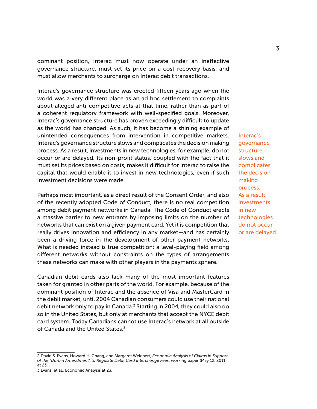dominant position, Interac must now operate under an ineffective governance structure, must set its price on a cost-recovery basis, and must allow merchants to surcharge on Interac debit transactions.

Interac's governance structure was erected fifteen years ago when the world was a very different place as an ad hoc settlement to complaints about alleged anti-competitive acts at that time, rather than as part of a coherent regulatory framework with well-specified goals. Moreover, Interac's governance structure has proven exceedingly difficult to update as the world has changed. As such, it has become a shining example of unintended consequences from intervention in competitive markets. Interac's governance structure slows and complicates the decision making process. As a result, investments in new technologies, for example, do not occur or are delayed. Its non-profit status, coupled with the fact that it must set its prices based on costs, makes it difficult for Interac to raise the capital that would enable it to invest in new technologies, even if such investment decisions were made.

Perhaps most important, as a direct result of the Consent Order, and also of the recently adopted Code of Conduct, there is no real competition among debit payment networks in Canada. The Code of Conduct erects a massive barrier to new entrants by imposing limits on the number of networks that can exist on a given payment card. Yet it is competition that really drives innovation and efficiency in any market—and has certainly been a driving force in the development of other payment networks. What is needed instead is true competition: a level-playing field among different networks without constraints on the types of arrangements these networks can make with other players in the payments sphere.

Canadian debit cards also lack many of the most important features taken for granted in other parts of the world. For example, because of the dominant position of Interac and the absence of Visa and MasterCard in the debit market, until 2004 Canadian consumers could use their national debit network only to pay in Canada.<sup>2</sup> Starting in 2004, they could also do so in the United States, but only at merchants that accept the NYCE debit card system. Today Canadians cannot use Interac's network at all outside of Canada and the United States  $3$ 

Interac's governance structure slows and complicates the decision making process. As a result, investments in new technologies... do not occur or are delayed.

<sup>2</sup> David S. Evans, Howard H. Chang, and Margaret Weichert, *Economic Analysis of Claims in Support of the "Durbin Amendment" to Regulate Debit Card Interchange Fees*, working paper (May 12, 2011) at 23.

<sup>3</sup> Evans, et al., Economic Analysis at 23.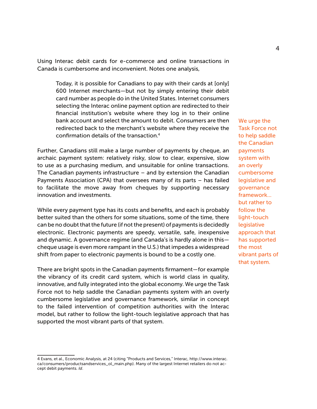Using Interac debit cards for e-commerce and online transactions in Canada is cumbersome and inconvenient. Notes one analysis,

Today, it is possible for Canadians to pay with their cards at [only] 600 Internet merchants—but not by simply entering their debit card number as people do in the United States. Internet consumers selecting the Interac online payment option are redirected to their financial institution's website where they log in to their online bank account and select the amount to debit. Consumers are then redirected back to the merchant's website where they receive the confirmation details of the transaction.4

Further, Canadians still make a large number of payments by cheque, an archaic payment system: relatively risky, slow to clear, expensive, slow to use as a purchasing medium, and unsuitable for online transactions. The Canadian payments infrastructure  $-$  and by extension the Canadian Payments Association (CPA) that oversees many of its parts – has failed to facilitate the move away from cheques by supporting necessary innovation and investments.

While every payment type has its costs and benefits, and each is probably better suited than the others for some situations, some of the time, there can be no doubt that the future (if not the present) of payments is decidedly electronic. Electronic payments are speedy, versatile, safe, inexpensive and dynamic. A governance regime (and Canada's is hardly alone in this cheque usage is even more rampant in the U.S.) that impedes a widespread shift from paper to electronic payments is bound to be a costly one.

There are bright spots in the Canadian payments firmament—for example the vibrancy of its credit card system, which is world class in quality, innovative, and fully integrated into the global economy. We urge the Task Force not to help saddle the Canadian payments system with an overly cumbersome legislative and governance framework, similar in concept to the failed intervention of competition authorities with the Interac model, but rather to follow the light-touch legislative approach that has supported the most vibrant parts of that system.

We urge the Task Force not to help saddle the Canadian payments system with an overly cumbersome legislative and governance framework... but rather to follow the light-touch legislative approach that has supported the most vibrant parts of that system.

<sup>4</sup> Evans, et al., Economic Analysis, at 24 (citing "Products and Services," Interac, http://www.interac. ca/consumers/productsandservices\_ol\_main.php). Many of the largest Internet retailers do not accept debit payments. *Id*.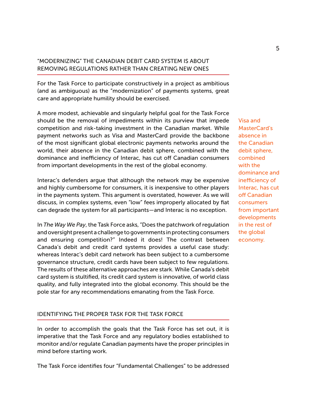## "Modernizing" the Canadian Debit Card System Is About Removing Regulations Rather Than Creating New Ones

For the Task Force to participate constructively in a project as ambitious (and as ambiguous) as the "modernization" of payments systems, great care and appropriate humility should be exercised.

A more modest, achievable and singularly helpful goal for the Task Force should be the removal of impediments within its purview that impede competition and risk-taking investment in the Canadian market. While payment networks such as Visa and MasterCard provide the backbone of the most significant global electronic payments networks around the world, their absence in the Canadian debit sphere, combined with the dominance and inefficiency of Interac, has cut off Canadian consumers from important developments in the rest of the global economy.

Interac's defenders argue that although the network may be expensive and highly cumbersome for consumers, it is inexpensive to other players in the payments system. This argument is overstated, however. As we will discuss, in complex systems, even "low" fees improperly allocated by fiat can degrade the system for all participants—and Interac is no exception.

In *The Way We Pay*, the Task Force asks, "Does the patchwork of regulation and oversight present a challenge to governments in protecting consumers and ensuring competition?" Indeed it does! The contrast between Canada's debit and credit card systems provides a useful case study: whereas Interac's debit card network has been subject to a cumbersome governance structure, credit cards have been subject to few regulations. The results of these alternative approaches are stark. While Canada's debit card system is stultified, its credit card system is innovative, of world class quality, and fully integrated into the global economy. This should be the pole star for any recommendations emanating from the Task Force.

#### Identifying the Proper Task for the Task Force

In order to accomplish the goals that the Task Force has set out, it is imperative that the Task Force and any regulatory bodies established to monitor and/or regulate Canadian payments have the proper principles in mind before starting work.

The Task Force identifies four "Fundamental Challenges" to be addressed

Visa and MasterCard's absence in the Canadian debit sphere, combined with the dominance and inefficiency of Interac, has cut off Canadian consumers from important developments in the rest of the global economy.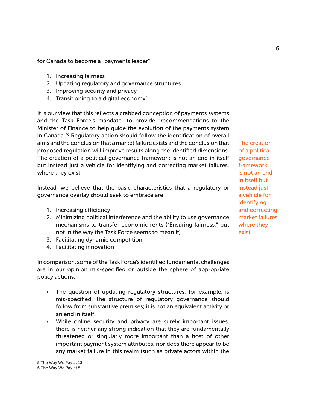for Canada to become a "payments leader"

- 1. Increasing fairness
- 2. Updating regulatory and governance structures
- 3. Improving security and privacy
- 4. Transitioning to a digital economy<sup>5</sup>

It is our view that this reflects a crabbed conception of payments systems and the Task Force's mandate—to provide "recommendations to the Minister of Finance to help guide the evolution of the payments system in Canada."6 Regulatory action should follow the identification of overall aims and the conclusion that a market failure exists and the conclusion that proposed regulation will improve results along the identified dimensions. The creation of a political governance framework is not an end in itself but instead just a vehicle for identifying and correcting market failures, where they exist.

Instead, we believe that the basic characteristics that a regulatory or governance overlay should seek to embrace are

- 1. Increasing efficiency
- 2. Minimizing political interference and the ability to use governance mechanisms to transfer economic rents ("Ensuring fairness," but not in the way the Task Force seems to mean it)
- 3. Facilitating dynamic competition
- 4. Facilitating innovation

In comparison, some of the Task Force's identified fundamental challenges are in our opinion mis-specified or outside the sphere of appropriate policy actions:

- The question of updating regulatory structures, for example, is mis-specified: the structure of regulatory governance should follow from substantive premises; it is not an equivalent activity or an end in itself.
- While online security and privacy are surely important issues, there is neither any strong indication that they are fundamentally threatened or singularly more important than a host of other important payment system attributes, nor does there appear to be any market failure in this realm (such as private actors within the

The creation of a political governance framework is not an end in itself but instead just a vehicle for identifying and correcting market failures, where they exist.

<sup>5</sup> The Way We Pay at 13.

<sup>6</sup> The Way We Pay at 5.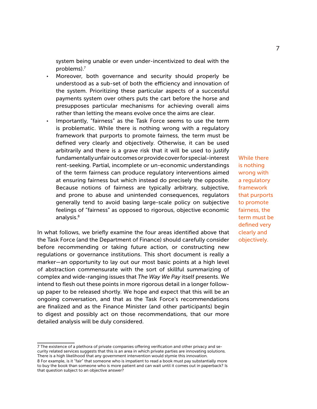system being unable or even under-incentivized to deal with the problems).7

- Moreover, both governance and security should properly be understood as a sub-set of both the efficiency and innovation of the system. Prioritizing these particular aspects of a successful payments system over others puts the cart before the horse and presupposes particular mechanisms for achieving overall aims rather than letting the means evolve once the aims are clear.
- Importantly, "fairness" as the Task Force seems to use the term is problematic. While there is nothing wrong with a regulatory framework that purports to promote fairness, the term must be defined very clearly and objectively. Otherwise, it can be used arbitrarily and there is a grave risk that it will be used to justify fundamentally unfair outcomes or provide cover for special-interest rent-seeking. Partial, incomplete or un-economic understandings of the term fairness can produce regulatory interventions aimed at ensuring fairness but which instead do precisely the opposite. Because notions of fairness are typically arbitrary, subjective, and prone to abuse and unintended consequences, regulators generally tend to avoid basing large-scale policy on subjective feelings of "fairness" as opposed to rigorous, objective economic analysis.<sup>8</sup>

In what follows, we briefly examine the four areas identified above that the Task Force (and the Department of Finance) should carefully consider before recommending or taking future action, or constructing new regulations or governance institutions. This short document is really a marker—an opportunity to lay out our most basic points at a high level of abstraction commensurate with the sort of skillful summarizing of complex and wide-ranging issues that *The Way We Pay* itself presents. We intend to flesh out these points in more rigorous detail in a longer followup paper to be released shortly. We hope and expect that this will be an ongoing conversation, and that as the Task Force's recommendations are finalized and as the Finance Minister (and other participants) begin to digest and possibly act on those recommendations, that our more detailed analysis will be duly considered.

While there is nothing wrong with a regulatory framework that purports to promote fairness, the term must be defined very clearly and objectively.

<sup>7</sup> The existence of a plethora of private companies offering verification and other privacy and security related services suggests that this is an area in which private parties are innovating solutions. There is a high likelihood that any government intervention would stymie this innovation.

<sup>8</sup> For example, is it "fair" that someone who is impatient to read a book must pay substantially more to buy the book than someone who is more patient and can wait until it comes out in paperback? Is that question subject to an objective answer?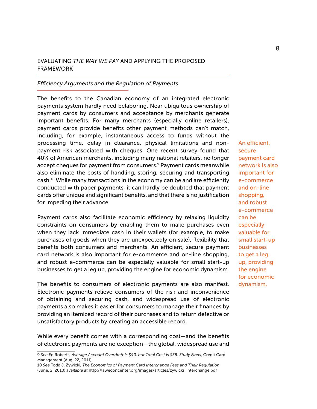#### Evaluating *The Way We Pay* and Applying the Proposed **FRAMEWORK**

#### *Efficiency Arguments and the Regulation of Payments*

The benefits to the Canadian economy of an integrated electronic payments system hardly need belaboring. Near ubiquitous ownership of payment cards by consumers and acceptance by merchants generate important benefits. For many merchants (especially online retailers), payment cards provide benefits other payment methods can't match, including, for example, instantaneous access to funds without the processing time, delay in clearance, physical limitations and nonpayment risk associated with cheques. One recent survey found that 40% of American merchants, including many national retailers, no longer accept cheques for payment from consumers.<sup>9</sup> Payment cards meanwhile also eliminate the costs of handling, storing, securing and transporting cash.10 While many transactions in the economy can be and are efficiently conducted with paper payments, it can hardly be doubted that payment cards offer unique and significant benefits, and that there is no justification for impeding their advance.

Payment cards also facilitate economic efficiency by relaxing liquidity constraints on consumers by enabling them to make purchases even when they lack immediate cash in their wallets (for example, to make purchases of goods when they are unexpectedly on sale), flexibility that benefits both consumers and merchants. An efficient, secure payment card network is also important for e-commerce and on-line shopping, and robust e-commerce can be especially valuable for small start-up businesses to get a leg up, providing the engine for economic dynamism.

The benefits to consumers of electronic payments are also manifest. Electronic payments relieve consumers of the risk and inconvenience of obtaining and securing cash, and widespread use of electronic payments also makes it easier for consumers to manage their finances by providing an itemized record of their purchases and to return defective or unsatisfactory products by creating an accessible record.

While every benefit comes with a corresponding cost—and the benefits of electronic payments are no exception—the global, widespread use and

An efficient, secure payment card network is also important for e-commerce and on-line shopping, and robust e-commerce can be especially valuable for small start-up businesses to get a leg up, providing the engine for economic dynamism.

<sup>9</sup> *See* Ed Roberts, *Average Account Overdraft Is \$40, but Total Cost is \$58, Study Finds*, Credit Card Management (Aug. 22, 2011).

<sup>10</sup> *See* Todd J. Zywicki, *The Economics of Payment Card Interchange Fees and Their Regulation* (June, 2, 2010) *available at* http://laweconcenter.org/images/articles/zywicki\_interchange.pdf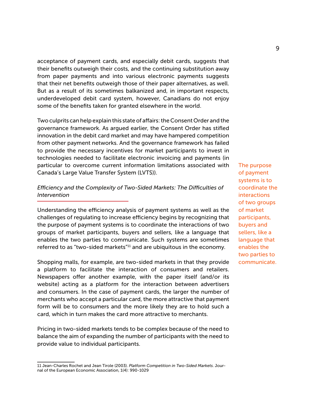acceptance of payment cards, and especially debit cards, suggests that their benefits outweigh their costs, and the continuing substitution away from paper payments and into various electronic payments suggests that their net benefits outweigh those of their paper alternatives, as well. But as a result of its sometimes balkanized and, in important respects, underdeveloped debit card system, however, Canadians do not enjoy some of the benefits taken for granted elsewhere in the world.

Two culprits can help explain this state of affairs: the Consent Order and the governance framework. As argued earlier, the Consent Order has stifled innovation in the debit card market and may have hampered competition from other payment networks. And the governance framework has failed to provide the necessary incentives for market participants to invest in technologies needed to facilitate electronic invoicing and payments (in particular to overcome current information limitations associated with Canada's Large Value Transfer System (LVTS)).

#### *Efficiency and the Complexity of Two-Sided Markets: The Difficulties of Intervention*

Understanding the efficiency analysis of payment systems as well as the challenges of regulating to increase efficiency begins by recognizing that the purpose of payment systems is to coordinate the interactions of two groups of market participants, buyers and sellers, like a language that enables the two parties to communicate. Such systems are sometimes referred to as "two-sided markets"11 and are ubiquitous in the economy.

Shopping malls, for example, are two-sided markets in that they provide a platform to facilitate the interaction of consumers and retailers. Newspapers offer another example, with the paper itself (and/or its website) acting as a platform for the interaction between advertisers and consumers. In the case of payment cards, the larger the number of merchants who accept a particular card, the more attractive that payment form will be to consumers and the more likely they are to hold such a card, which in turn makes the card more attractive to merchants.

Pricing in two-sided markets tends to be complex because of the need to balance the aim of expanding the number of participants with the need to provide value to individual participants.

The purpose of payment systems is to coordinate the interactions of two groups of market participants, buyers and sellers, like a language that enables the two parties to communicate.

<sup>11</sup> Jean-Charles Rochet and Jean Tirole (2003). *Platform Competition in Two-Sided Markets*. Journal of the European Economic Association, 1(4): 990-1029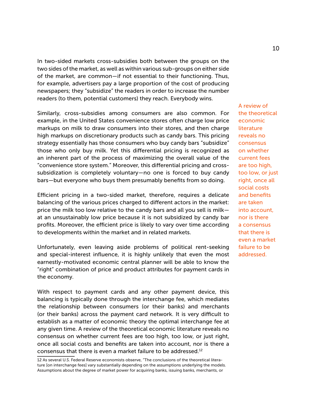In two-sided markets cross-subsidies both between the groups on the two sides of the market, as well as within various sub-groups on either side of the market, are common—if not essential to their functioning. Thus, for example, advertisers pay a large proportion of the cost of producing newspapers; they "subsidize" the readers in order to increase the number readers (to them, potential customers) they reach. Everybody wins.

Similarly, cross-subsidies among consumers are also common. For example, in the United States convenience stores often charge low price markups on milk to draw consumers into their stores, and then charge high markups on discretionary products such as candy bars. This pricing strategy essentially has those consumers who buy candy bars "subsidize" those who only buy milk. Yet this differential pricing is recognized as an inherent part of the process of maximizing the overall value of the "convenience store system." Moreover, this differential pricing and crosssubsidization is completely voluntary—no one is forced to buy candy bars—but everyone who buys them presumably benefits from so doing.

Efficient pricing in a two-sided market, therefore, requires a delicate balancing of the various prices charged to different actors in the market: price the milk too low relative to the candy bars and all you sell is milk at an unsustainably low price because it is not subsidized by candy bar profits. Moreover, the efficient price is likely to vary over time according to developments within the market and in related markets.

Unfortunately, even leaving aside problems of political rent-seeking and special-interest influence, it is highly unlikely that even the most earnestly-motivated economic central planner will be able to know the "right" combination of price and product attributes for payment cards in the economy.

With respect to payment cards and any other payment device, this balancing is typically done through the interchange fee, which mediates the relationship between consumers (or their banks) and merchants (or their banks) across the payment card network. It is very difficult to establish as a matter of economic theory the optimal interchange fee at any given time. A review of the theoretical economic literature reveals no consensus on whether current fees are too high, too low, or just right, once all social costs and benefits are taken into account, nor is there a consensus that there is even a market failure to be addressed.12

A review of the theoretical economic literature reveals no consensus on whether current fees are too high, too low, or just right, once all social costs and benefits are taken into account, nor is there a consensus that there is even a market failure to be addressed.

<sup>12</sup> As several U.S. Federal Reserve economists observe, "The conclusions of the theoretical literature [on interchange fees] vary substantially depending on the assumptions underlying the models. Assumptions about the degree of market power for acquiring banks, issuing banks, merchants, or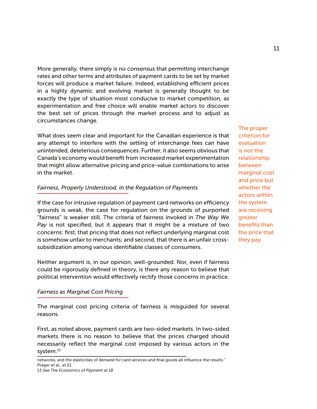More generally, there simply is no consensus that permitting interchange rates and other terms and attributes of payment cards to be set by market forces will produce a market failure. Indeed, establishing efficient prices in a highly dynamic and evolving market is generally thought to be exactly the type of situation most conducive to market competition, as experimentation and free choice will enable market actors to discover the best set of prices through the market process and to adjust as circumstances change.

What does seem clear and important for the Canadian experience is that any attempt to interfere with the setting of interchange fees can have unintended, deleterious consequences. Further, it also seems obvious that Canada's economy would benefit from increased market experimentation that might allow alternative pricing and price-value combinations to arise in the market.

#### *Fairness, Properly Understood, in the Regulation of Payments*

If the case for intrusive regulation of payment card networks on efficiency grounds is weak, the case for regulation on the grounds of purported "fairness" is weaker still. The criteria of fairness invoked in *The Way We Pay* is not specified, but it appears that it might be a mixture of two concerns: first, that pricing that does not reflect underlying marginal cost is somehow unfair to merchants; and second, that there is an unfair crosssubsidization among various identifiable classes of consumers.

Neither argument is, in our opinion, well-grounded. Nor, even if fairness could be rigorously defined in theory, is there any reason to believe that political intervention would effectively rectify those concerns in practice.

#### *Fairness as Marginal Cost Pricing*

The marginal cost pricing criteria of fairness is misguided for several reasons.

First, as noted above, payment cards are two-sided markets. In two-sided markets there is no reason to believe that the prices charged should necessarily reflect the marginal cost imposed by various actors in the system.<sup>13</sup>

The proper criterion for evaluation is not the relationship between marginal cost and price but whether the actors within the system are receiving greater benefits than the price that they pay.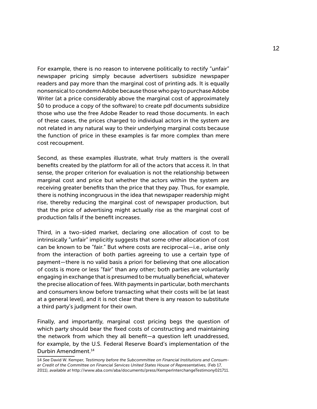For example, there is no reason to intervene politically to rectify "unfair" newspaper pricing simply because advertisers subsidize newspaper readers and pay more than the marginal cost of printing ads. It is equally nonsensical to condemn Adobe because those who pay to purchase Adobe Writer (at a price considerably above the marginal cost of approximately \$0 to produce a copy of the software) to create pdf documents subsidize those who use the free Adobe Reader to read those documents. In each of these cases, the prices charged to individual actors in the system are not related in any natural way to their underlying marginal costs because the function of price in these examples is far more complex than mere cost recoupment.

Second, as these examples illustrate, what truly matters is the overall benefits created by the platform for all of the actors that access it. In that sense, the proper criterion for evaluation is not the relationship between marginal cost and price but whether the actors within the system are receiving greater benefits than the price that they pay. Thus, for example, there is nothing incongruous in the idea that newspaper readership might rise, thereby reducing the marginal cost of newspaper production, but that the price of advertising might actually rise as the marginal cost of production falls if the benefit increases.

Third, in a two-sided market, declaring one allocation of cost to be intrinsically "unfair" implicitly suggests that some other allocation of cost can be known to be "fair." But where costs are reciprocal—i.e., arise only from the interaction of both parties agreeing to use a certain type of payment—there is no valid basis a priori for believing that one allocation of costs is more or less "fair" than any other; both parties are voluntarily engaging in exchange that is presumed to be mutually beneficial, whatever the precise allocation of fees. With payments in particular, both merchants and consumers know before transacting what their costs will be (at least at a general level), and it is not clear that there is any reason to substitute a third party's judgment for their own.

Finally, and importantly, marginal cost pricing begs the question of which party should bear the fixed costs of constructing and maintaining the network from which they all benefit—a question left unaddressed, for example, by the U.S. Federal Reserve Board's implementation of the Durbin Amendment.14

<sup>14</sup> *See* David W. Kemper, *Testimony before the Subcommittee on Financial Institutions and Consumer Credit of the Committee on Financial Services United States House of Representatives,* (Feb 17, 2011), *available at* http://www.aba.com/aba/documents/press/KemperInterchangeTestimony021711.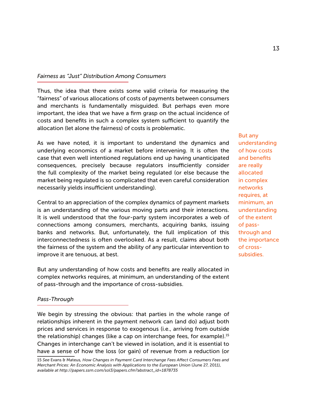#### *Fairness as "Just" Distribution Among Consumers*

Thus, the idea that there exists some valid criteria for measuring the "fairness" of various allocations of costs of payments between consumers and merchants is fundamentally misguided. But perhaps even more important, the idea that we have a firm grasp on the actual incidence of costs and benefits in such a complex system sufficient to quantify the allocation (let alone the fairness) of costs is problematic.

As we have noted, it is important to understand the dynamics and underlying economics of a market before intervening. It is often the case that even well intentioned regulations end up having unanticipated consequences, precisely because regulators insufficiently consider the full complexity of the market being regulated (or else because the market being regulated is so complicated that even careful consideration necessarily yields insufficient understanding).

Central to an appreciation of the complex dynamics of payment markets is an understanding of the various moving parts and their interactions. It is well understood that the four-party system incorporates a web of connections among consumers, merchants, acquiring banks, issuing banks and networks. But, unfortunately, the full implication of this interconnectedness is often overlooked. As a result, claims about both the fairness of the system and the ability of any particular intervention to improve it are tenuous, at best.

But any understanding of how costs and benefits are really allocated in complex networks requires, at minimum, an understanding of the extent of pass-through and the importance of cross-subsidies.

#### *Pass-Through*

We begin by stressing the obvious: that parties in the whole range of relationships inherent in the payment network can (and do) adjust both prices and services in response to exogenous (i.e., arriving from outside the relationship) changes (like a cap on interchange fees, for example).15 Changes in interchange can't be viewed in isolation, and it is essential to have a sense of how the loss (or gain) of revenue from a reduction (or

But any understanding of how costs and benefits are really allocated in complex networks requires, at minimum, an understanding of the extent of passthrough and the importance of crosssubsidies.

<sup>15</sup> *See* Evans & Mateus*, How Changes in Payment Card Interchange Fees Affect Consumers Fees and Merchant Prices: An Economic Analysis with Applications to the European Union (June 27, 2011), available at http://papers.ssrn.com/sol3/papers.cfm?abstract\_id=1878735*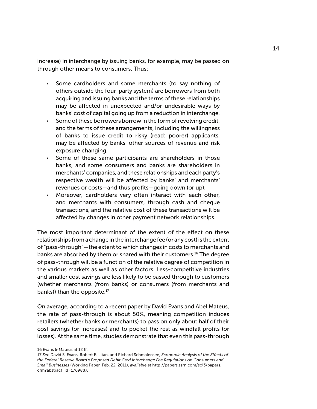increase) in interchange by issuing banks, for example, may be passed on through other means to consumers. Thus:

- Some cardholders and some merchants (to say nothing of others outside the four-party system) are borrowers from both acquiring and issuing banks and the terms of these relationships may be affected in unexpected and/or undesirable ways by banks' cost of capital going up from a reduction in interchange.
- Some of these borrowers borrow in the form of revolving credit, and the terms of these arrangements, including the willingness of banks to issue credit to risky (read: poorer) applicants, may be affected by banks' other sources of revenue and risk exposure changing.
- Some of these same participants are shareholders in those banks, and some consumers and banks are shareholders in merchants' companies, and these relationships and each party's respective wealth will be affected by banks' and merchants' revenues or costs—and thus profits—going down (or up).
- Moreover, cardholders very often interact with each other, and merchants with consumers, through cash and cheque transactions, and the relative cost of these transactions will be affected by changes in other payment network relationships.

The most important determinant of the extent of the effect on these relationships from a change in the interchange fee (or any cost) is the extent of "pass-through"—the extent to which changes in costs to merchants and banks are absorbed by them or shared with their customers.16 The degree of pass-through will be a function of the relative degree of competition in the various markets as well as other factors. Less-competitive industries and smaller cost savings are less likely to be passed through to customers (whether merchants (from banks) or consumers (from merchants and banks)) than the opposite.<sup>17</sup>

On average, according to a recent paper by David Evans and Abel Mateus, the rate of pass-through is about 50%, meaning competition induces retailers (whether banks or merchants) to pass on only about half of their cost savings (or increases) and to pocket the rest as windfall profits (or losses). At the same time, studies demonstrate that even this pass-through

<sup>16</sup> Evans & Mateus at 12 ff.

<sup>17</sup> *See* David S. Evans, Robert E. Litan, and Richard Schmalensee, *Economic Analysis of the Effects of the Federal Reserve Board's Proposed Debit Card Interchange Fee Regulations on Consumers and Small Businesses* (Working Paper, Feb. 22, 2011), *available at* http://papers.ssrn.com/sol3/papers. cfm?abstract\_id=1769887.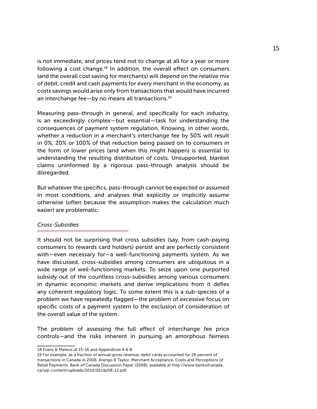is not immediate, and prices tend not to change at all for a year or more following a cost change.18 In addition, the overall effect on consumers (and the overall cost saving for merchants) will depend on the relative mix of debit, credit and cash payments for every merchant in the economy, as costs savings would arise only from transactions that would have incurred an interchange fee—by no means all transactions.19

Measuring pass-through in general, and specifically for each industry, is an exceedingly complex—but essential—task for understanding the consequences of payment system regulation. Knowing, in other words, whether a reduction in a merchant's interchange fee by 50% will result in 0%, 20% or 100% of that reduction being passed on to consumers in the form of lower prices (and when this might happen) is essential to understanding the resulting distribution of costs. Unsupported, blanket claims uninformed by a rigorous pass-through analysis should be disregarded.

But whatever the specifics, pass-through cannot be expected or assumed in most conditions, and analyses that explicitly or implicitly assume otherwise (often because the assumption makes the calculation much easier) are problematic.

#### *Cross-Subsidies*

It should not be surprising that cross subsidies (say, from cash-paying consumers to rewards card holders) persist and are perfectly consistent with—even necessary for—a well-functioning payments system. As we have discussed, cross-subsidies among consumers are ubiquitous in a wide range of well-functioning markets. To seize upon one purported subsidy out of the countless cross-subsidies among various consumers in dynamic economic markets and derive implications from it defies any coherent regulatory logic. To some extent this is a sub-species of a problem we have repeatedly flagged—the problem of excessive focus on specific costs of a payment system to the exclusion of consideration of the overall value of the system.

The problem of assessing the full effect of interchange fee price controls—and the risks inherent in pursuing an amorphous fairness

<sup>18</sup> Evans & Mateus at 15-16 and Appendices A & B.

<sup>19</sup> For example, as a fraction of annual gross revenue, debit cards accounted for 26 percent of transactions in Canada in 2006. Arango & Taylor, Merchant Acceptance, Costs and Perceptions of Retail Payments, Bank of Canada Discussion Paper (2008), available at http://www.bankofcanada. ca/wp-content/uploads/2010/01/dp08-12.pdf.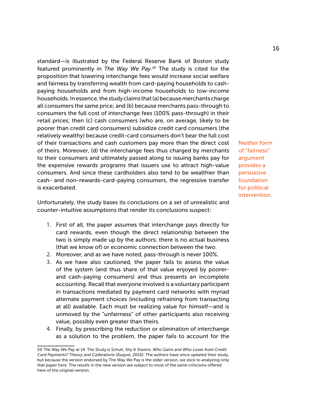standard—is illustrated by the Federal Reserve Bank of Boston study featured prominently in *The Way We Pay*. 20 The study is cited for the proposition that lowering interchange fees would increase social welfare and fairness by transferring wealth from card-paying households to cashpaying households and from high-income households to low-income households. In essence, the study claims that (a) because merchants charge all consumers the same price; and (b) because merchants pass-through to consumers the full cost of interchange fees (100% pass-through) in their retail prices; then (c) cash consumers (who are, on average, likely to be poorer than credit card consumers) subsidize credit card consumers (the relatively wealthy) because credit-card consumers don't bear the full cost of their transactions and cash customers pay more than the direct cost of theirs. Moreover, (d) the interchange fees thus charged by merchants to their consumers and ultimately passed along to issuing banks pay for the expensive rewards programs that issuers use to attract high-value consumers. And since these cardholders also tend to be wealthier than cash- and non-rewards-card-paying consumers, the regressive transfer is exacerbated.

Unfortunately, the study bases its conclusions on a set of unrealistic and counter-intuitive assumptions that render its conclusions suspect:

- 1. First of all, the paper assumes that interchange pays directly for card rewards, even though the direct relationship between the two is simply made up by the authors; there is no actual business (that we know of) or economic connection between the two.
- 2. Moreover, and as we have noted, pass-through is never 100%.
- 3. As we have also cautioned, the paper fails to assess the value of the system (and thus share of that value enjoyed by poorerand cash-paying consumers) and thus presents an incomplete accounting. Recall that everyone involved is a voluntary participant in transactions mediated by payment card networks with myriad alternate payment choices (including refraining from transacting at all) available. Each must be realizing value for himself—and is unmoved by the "unfairness" of other participants also receiving value, possibly even greater than theirs.
- 4. Finally, by prescribing the reduction or elimination of interchange as a solution to the problem, the paper fails to account for the

Neither form of "fairness" argument provides a persuasive foundation for political intervention.

<sup>20</sup> *The Way We Pay* at 14. The Study is Schuh, Shy & Stavins, *Who Gains and Who Loses from Credit Card Payments? Theory and Calibrations* (August, 2010). The authors have since updated their study, but because the version endorsed by The Way We Pay is the older version, we stick to analyzing only that paper here. The results in the new version are subject to most of the same criticisms offered here of the original version.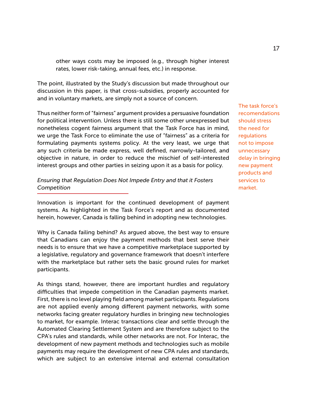other ways costs may be imposed (e.g., through higher interest rates, lower risk-taking, annual fees, etc.) in response.

The point, illustrated by the Study's discussion but made throughout our discussion in this paper, is that cross-subsidies, properly accounted for and in voluntary markets, are simply not a source of concern.

Thus neither form of "fairness" argument provides a persuasive foundation for political intervention. Unless there is still some other unexpressed but nonetheless cogent fairness argument that the Task Force has in mind, we urge the Task Force to eliminate the use of "fairness" as a criteria for formulating payments systems policy. At the very least, we urge that any such criteria be made express, well defined, narrowly-tailored, and objective in nature, in order to reduce the mischief of self-interested interest groups and other parties in seizing upon it as a basis for policy.

### *Ensuring that Regulation Does Not Impede Entry and that it Fosters Competition*

Innovation is important for the continued development of payment systems. As highlighted in the Task Force's report and as documented herein, however, Canada is falling behind in adopting new technologies.

Why is Canada failing behind? As argued above, the best way to ensure that Canadians can enjoy the payment methods that best serve their needs is to ensure that we have a competitive marketplace supported by a legislative, regulatory and governance framework that doesn't interfere with the marketplace but rather sets the basic ground rules for market participants.

As things stand, however, there are important hurdles and regulatory difficulties that impede competition in the Canadian payments market. First, there is no level playing field among market participants. Regulations are not applied evenly among different payment networks, with some networks facing greater regulatory hurdles in bringing new technologies to market, for example. Interac transactions clear and settle through the Automated Clearing Settlement System and are therefore subject to the CPA's rules and standards, while other networks are not. For Interac, the development of new payment methods and technologies such as mobile payments may require the development of new CPA rules and standards, which are subject to an extensive internal and external consultation

The task force's recomendations should stress the need for regulations not to impose unnecessary delay in bringing new payment products and services to market.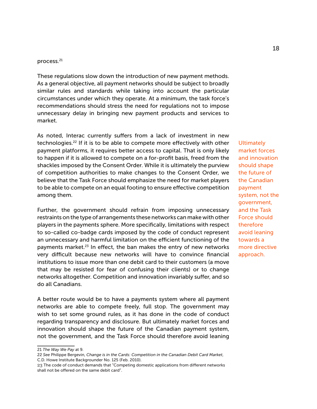#### process.21

These regulations slow down the introduction of new payment methods. As a general objective, all payment networks should be subject to broadly similar rules and standards while taking into account the particular circumstances under which they operate. At a minimum, the task force's recommendations should stress the need for regulations not to impose unnecessary delay in bringing new payment products and services to market.

As noted, Interac currently suffers from a lack of investment in new technologies.22 If it is to be able to compete more effectively with other payment platforms, it requires better access to capital. That is only likely to happen if it is allowed to compete on a for-profit basis, freed from the shackles imposed by the Consent Order. While it is ultimately the purview of competition authorities to make changes to the Consent Order, we believe that the Task Force should emphasize the need for market players to be able to compete on an equal footing to ensure effective competition among them.

Further, the government should refrain from imposing unnecessary restraints on the type of arrangements these networks can make with other players in the payments sphere. More specifically, limitations with respect to so-called co-badge cards imposed by the code of conduct represent an unnecessary and harmful limitation on the efficient functioning of the payments market.<sup>23</sup> In effect, the ban makes the entry of new networks very difficult because new networks will have to convince financial institutions to issue more than one debit card to their customers (a move that may be resisted for fear of confusing their clients) or to change networks altogether. Competition and innovation invariably suffer, and so do all Canadians.

A better route would be to have a payments system where all payment networks are able to compete freely, full stop. The government may wish to set some ground rules, as it has done in the code of conduct regarding transparency and disclosure. But ultimately market forces and innovation should shape the future of the Canadian payment system, not the government, and the Task Force should therefore avoid leaning **Ultimately** market forces and innovation should shape the future of the Canadian payment system, not the government, and the Task Force should therefore avoid leaning towards a more directive approach.

<sup>21</sup> *The Way We Pay* at 9.

<sup>22</sup> *See* Philippe Bergevin, *Change is in the Cards: Competition in the Canadian Debit Card Market*, C.D. Howe Institute Backgrounder No. 125 (Feb. 2010).

<sup>23</sup> The code of conduct demands that "Competing domestic applications from different networks shall not be offered on the same debit card".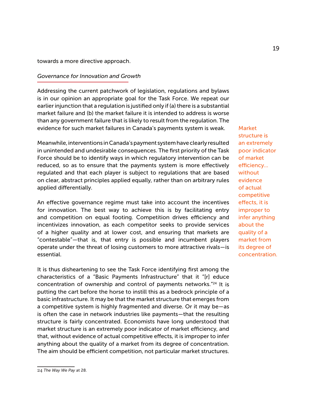towards a more directive approach.

#### *Governance for Innovation and Growth*

Addressing the current patchwork of legislation, regulations and bylaws is in our opinion an appropriate goal for the Task Force. We repeat our earlier injunction that a regulation is justified only if (a) there is a substantial market failure and (b) the market failure it is intended to address is worse than any government failure that is likely to result from the regulation. The evidence for such market failures in Canada's payments system is weak.

Meanwhile, interventions in Canada's payment system have clearly resulted in unintended and undesirable consequences. The first priority of the Task Force should be to identify ways in which regulatory intervention can be reduced, so as to ensure that the payments system is more effectively regulated and that each player is subject to regulations that are based on clear, abstract principles applied equally, rather than on arbitrary rules applied differentially.

An effective governance regime must take into account the incentives for innovation. The best way to achieve this is by facilitating entry and competition on equal footing. Competition drives efficiency and incentivizes innovation, as each competitor seeks to provide services of a higher quality and at lower cost, and ensuring that markets are "contestable"—that is, that entry is possible and incumbent players operate under the threat of losing customers to more attractive rivals—is essential.

It is thus disheartening to see the Task Force identifying first among the characteristics of a "Basic Payments Infrastructure" that it "[r] educe concentration of ownership and control of payments networks."24 It is putting the cart before the horse to instill this as a bedrock principle of a basic infrastructure. It may be that the market structure that emerges from a competitive system is highly fragmented and diverse. Or it may be—as is often the case in network industries like payments—that the resulting structure is fairly concentrated. Economists have long understood that market structure is an extremely poor indicator of market efficiency, and that, without evidence of actual competitive effects, it is improper to infer anything about the quality of a market from its degree of concentration. The aim should be efficient competition, not particular market structures.

**Market** structure is an extremely poor indicator of market efficiency... without evidence of actual competitive effects, it is improper to infer anything about the quality of a market from its degree of concentration.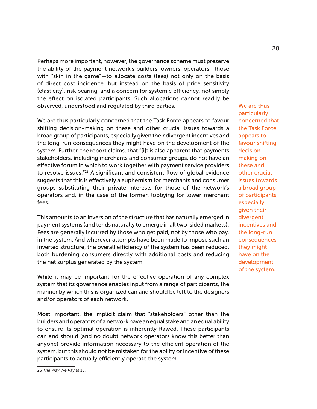Perhaps more important, however, the governance scheme must preserve the ability of the payment network's builders, owners, operators—those with "skin in the game"—to allocate costs (fees) not only on the basis of direct cost incidence, but instead on the basis of price sensitivity (elasticity), risk bearing, and a concern for systemic efficiency, not simply the effect on isolated participants. Such allocations cannot readily be observed, understood and regulated by third parties.

We are thus particularly concerned that the Task Force appears to favour shifting decision-making on these and other crucial issues towards a broad group of participants, especially given their divergent incentives and the long-run consequences they might have on the development of the system. Further, the report claims, that "[i]t is also apparent that payments stakeholders, including merchants and consumer groups, do not have an effective forum in which to work together with payment service providers to resolve issues."25 A significant and consistent flow of global evidence suggests that this is effectively a euphemism for merchants and consumer groups substituting their private interests for those of the network's operators and, in the case of the former, lobbying for lower merchant fees.

This amounts to an inversion of the structure that has naturally emerged in payment systems (and tends naturally to emerge in all two-sided markets): Fees are generally incurred by those who get paid, not by those who pay, in the system. And wherever attempts have been made to impose such an inverted structure, the overall efficiency of the system has been reduced, both burdening consumers directly with additional costs and reducing the net surplus generated by the system.

While it may be important for the effective operation of any complex system that its governance enables input from a range of participants, the manner by which this is organized can and should be left to the designers and/or operators of each network.

Most important, the implicit claim that "stakeholders" other than the builders and operators of a network have an equal stake and an equal ability to ensure its optimal operation is inherently flawed. These participants can and should (and no doubt network operators know this better than anyone) provide information necessary to the efficient operation of the system, but this should not be mistaken for the ability or incentive of these participants to actually efficiently operate the system.

We are thus particularly concerned that the Task Force appears to favour shifting decisionmaking on these and other crucial issues towards a broad group of participants, especially given their divergent incentives and the long-run consequences they might have on the development of the system.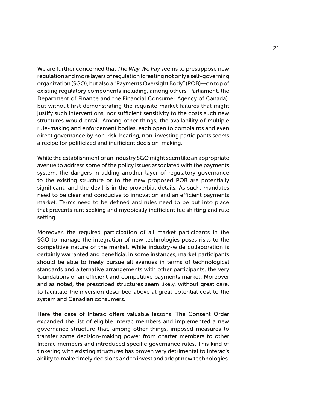We are further concerned that *The Way We Pay* seems to presuppose new regulation and more layers of regulation (creating not only a self-governing organization (SGO), but also a "Payments Oversight Body" (POB)—on top of existing regulatory components including, among others, Parliament, the Department of Finance and the Financial Consumer Agency of Canada), but without first demonstrating the requisite market failures that might justify such interventions, nor sufficient sensitivity to the costs such new structures would entail. Among other things, the availability of multiple rule-making and enforcement bodies, each open to complaints and even direct governance by non-risk-bearing, non-investing participants seems a recipe for politicized and inefficient decision-making.

While the establishment of an industry SGO might seem like an appropriate avenue to address some of the policy issues associated with the payments system, the dangers in adding another layer of regulatory governance to the existing structure or to the new proposed POB are potentially significant, and the devil is in the proverbial details. As such, mandates need to be clear and conducive to innovation and an efficient payments market. Terms need to be defined and rules need to be put into place that prevents rent seeking and myopically inefficient fee shifting and rule setting.

Moreover, the required participation of all market participants in the SGO to manage the integration of new technologies poses risks to the competitive nature of the market. While industry-wide collaboration is certainly warranted and beneficial in some instances, market participants should be able to freely pursue all avenues in terms of technological standards and alternative arrangements with other participants, the very foundations of an efficient and competitive payments market. Moreover and as noted, the prescribed structures seem likely, without great care, to facilitate the inversion described above at great potential cost to the system and Canadian consumers.

Here the case of Interac offers valuable lessons. The Consent Order expanded the list of eligible Interac members and implemented a new governance structure that, among other things, imposed measures to transfer some decision-making power from charter members to other Interac members and introduced specific governance rules. This kind of tinkering with existing structures has proven very detrimental to Interac's ability to make timely decisions and to invest and adopt new technologies.